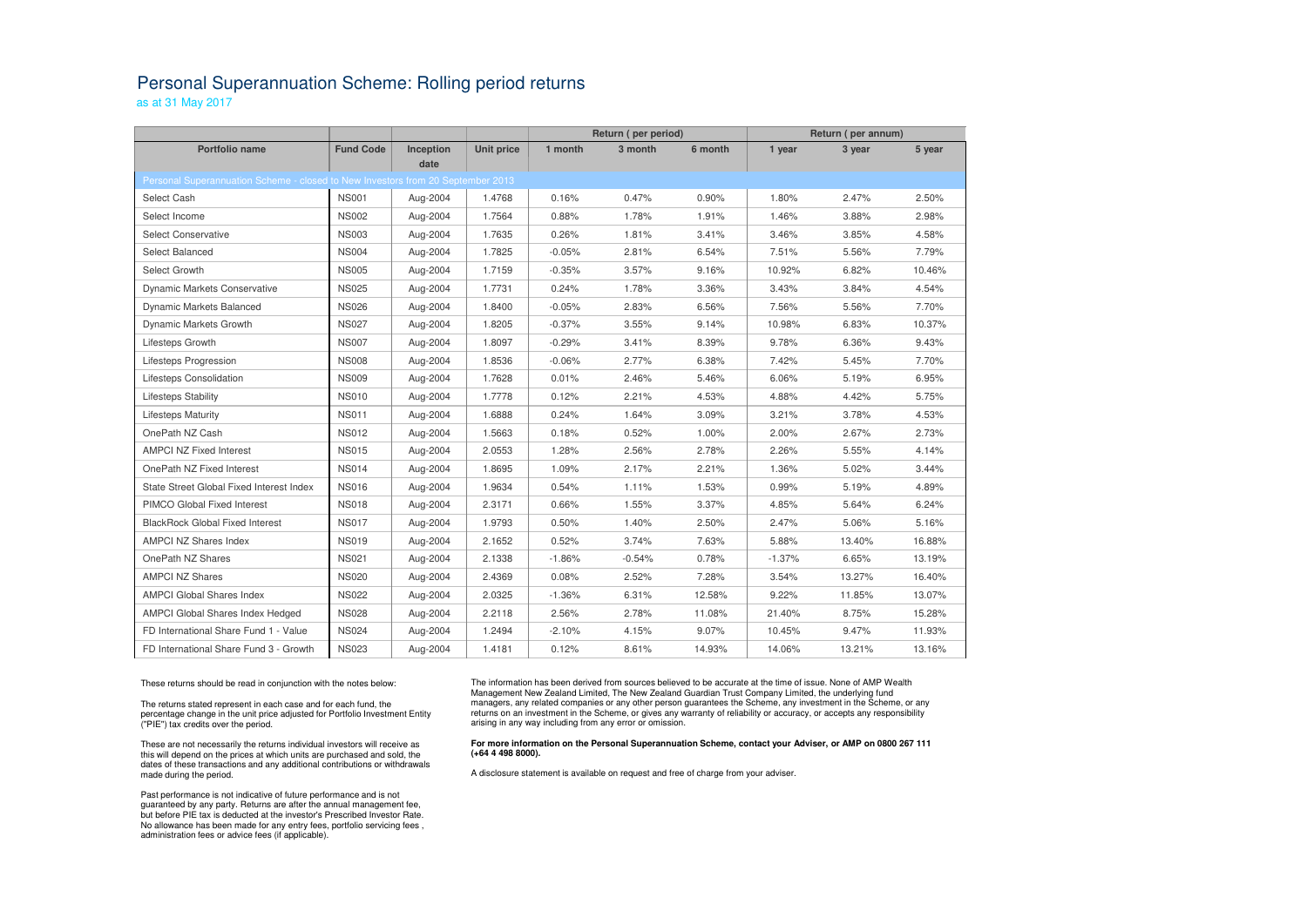## Personal Superannuation Scheme: Rolling period returns

as at 31 May 2017

|                                                                                         |                  |           |                   | Return (per period) |          |         | Return (per annum) |        |        |  |  |  |  |
|-----------------------------------------------------------------------------------------|------------------|-----------|-------------------|---------------------|----------|---------|--------------------|--------|--------|--|--|--|--|
| <b>Portfolio name</b>                                                                   | <b>Fund Code</b> | Inception | <b>Unit price</b> | 1 month             | 3 month  | 6 month | 1 year             | 3 year | 5 year |  |  |  |  |
| date<br>Personal Superannuation Scheme - closed to New Investors from 20 September 2013 |                  |           |                   |                     |          |         |                    |        |        |  |  |  |  |
| Select Cash                                                                             | <b>NS001</b>     | Aug-2004  | 1.4768            | 0.16%               | 0.47%    | 0.90%   | 1.80%              | 2.47%  | 2.50%  |  |  |  |  |
| Select Income                                                                           | <b>NS002</b>     | Aug-2004  | 1.7564            | 0.88%               | 1.78%    | 1.91%   | 1.46%              | 3.88%  | 2.98%  |  |  |  |  |
|                                                                                         | <b>NS003</b>     |           |                   |                     |          |         |                    |        |        |  |  |  |  |
| <b>Select Conservative</b>                                                              |                  | Aug-2004  | 1.7635            | 0.26%               | 1.81%    | 3.41%   | 3.46%              | 3.85%  | 4.58%  |  |  |  |  |
| Select Balanced                                                                         | <b>NS004</b>     | Aug-2004  | 1.7825            | $-0.05%$            | 2.81%    | 6.54%   | 7.51%              | 5.56%  | 7.79%  |  |  |  |  |
| Select Growth                                                                           | <b>NS005</b>     | Aug-2004  | 1.7159            | $-0.35%$            | 3.57%    | 9.16%   | 10.92%             | 6.82%  | 10.46% |  |  |  |  |
| <b>Dynamic Markets Conservative</b>                                                     | <b>NS025</b>     | Aug-2004  | 1.7731            | 0.24%               | 1.78%    | 3.36%   | 3.43%              | 3.84%  | 4.54%  |  |  |  |  |
| Dynamic Markets Balanced                                                                | <b>NS026</b>     | Aug-2004  | 1.8400            | $-0.05%$            | 2.83%    | 6.56%   | 7.56%              | 5.56%  | 7.70%  |  |  |  |  |
| Dynamic Markets Growth                                                                  | <b>NS027</b>     | Aug-2004  | 1.8205            | $-0.37%$            | 3.55%    | 9.14%   | 10.98%             | 6.83%  | 10.37% |  |  |  |  |
| Lifesteps Growth                                                                        | <b>NS007</b>     | Aug-2004  | 1.8097            | $-0.29%$            | 3.41%    | 8.39%   | 9.78%              | 6.36%  | 9.43%  |  |  |  |  |
| Lifesteps Progression                                                                   | <b>NS008</b>     | Aug-2004  | 1.8536            | $-0.06%$            | 2.77%    | 6.38%   | 7.42%              | 5.45%  | 7.70%  |  |  |  |  |
| Lifesteps Consolidation                                                                 | <b>NS009</b>     | Aug-2004  | 1.7628            | 0.01%               | 2.46%    | 5.46%   | 6.06%              | 5.19%  | 6.95%  |  |  |  |  |
| Lifesteps Stability                                                                     | <b>NS010</b>     | Aug-2004  | 1.7778            | 0.12%               | 2.21%    | 4.53%   | 4.88%              | 4.42%  | 5.75%  |  |  |  |  |
| <b>Lifesteps Maturity</b>                                                               | <b>NS011</b>     | Aug-2004  | 1.6888            | 0.24%               | 1.64%    | 3.09%   | 3.21%              | 3.78%  | 4.53%  |  |  |  |  |
| OnePath NZ Cash                                                                         | <b>NS012</b>     | Aug-2004  | 1.5663            | 0.18%               | 0.52%    | 1.00%   | 2.00%              | 2.67%  | 2.73%  |  |  |  |  |
| <b>AMPCI NZ Fixed Interest</b>                                                          | <b>NS015</b>     | Aug-2004  | 2.0553            | 1.28%               | 2.56%    | 2.78%   | 2.26%              | 5.55%  | 4.14%  |  |  |  |  |
| OnePath NZ Fixed Interest                                                               | <b>NS014</b>     | Aug-2004  | 1.8695            | 1.09%               | 2.17%    | 2.21%   | 1.36%              | 5.02%  | 3.44%  |  |  |  |  |
| State Street Global Fixed Interest Index                                                | <b>NS016</b>     | Aug-2004  | 1.9634            | 0.54%               | 1.11%    | 1.53%   | 0.99%              | 5.19%  | 4.89%  |  |  |  |  |
| PIMCO Global Fixed Interest                                                             | <b>NS018</b>     | Aug-2004  | 2.3171            | 0.66%               | 1.55%    | 3.37%   | 4.85%              | 5.64%  | 6.24%  |  |  |  |  |
| <b>BlackRock Global Fixed Interest</b>                                                  | <b>NS017</b>     | Aug-2004  | 1.9793            | 0.50%               | 1.40%    | 2.50%   | 2.47%              | 5.06%  | 5.16%  |  |  |  |  |
| <b>AMPCI NZ Shares Index</b>                                                            | <b>NS019</b>     | Aug-2004  | 2.1652            | 0.52%               | 3.74%    | 7.63%   | 5.88%              | 13.40% | 16.88% |  |  |  |  |
| OnePath NZ Shares                                                                       | <b>NS021</b>     | Aug-2004  | 2.1338            | $-1.86%$            | $-0.54%$ | 0.78%   | $-1.37%$           | 6.65%  | 13.19% |  |  |  |  |
| <b>AMPCI NZ Shares</b>                                                                  | <b>NS020</b>     | Aug-2004  | 2.4369            | 0.08%               | 2.52%    | 7.28%   | 3.54%              | 13.27% | 16.40% |  |  |  |  |
| <b>AMPCI Global Shares Index</b>                                                        | <b>NS022</b>     | Aug-2004  | 2.0325            | $-1.36%$            | 6.31%    | 12.58%  | 9.22%              | 11.85% | 13.07% |  |  |  |  |
| AMPCI Global Shares Index Hedged                                                        | <b>NS028</b>     | Aug-2004  | 2.2118            | 2.56%               | 2.78%    | 11.08%  | 21.40%             | 8.75%  | 15.28% |  |  |  |  |
| FD International Share Fund 1 - Value                                                   | <b>NS024</b>     | Aug-2004  | 1.2494            | $-2.10%$            | 4.15%    | 9.07%   | 10.45%             | 9.47%  | 11.93% |  |  |  |  |
| FD International Share Fund 3 - Growth                                                  | <b>NS023</b>     | Aug-2004  | 1.4181            | 0.12%               | 8.61%    | 14.93%  | 14.06%             | 13.21% | 13.16% |  |  |  |  |

These returns should be read in conjunction with the notes below:

The returns stated represent in each case and for each fund, the percentage change in the unit price adjusted for Portfolio Investment Entity ("PIE") tax credits over the period.

These are not necessarily the returns individual investors will receive as this will depend on the prices at which units are purchased and sold, the dates of these transactions and any additional contributions or withdrawals made during the period.

Past performance is not indicative of future performance and is not guaranteed by any party. Returns are after the annual management fee, but before PIE tax is deducted at the investor's Prescribed Investor Rate. No allowance has been made for any entry fees, portfolio servicing fees , administration fees or advice fees (if applicable).

The information has been derived from sources believed to be accurate at the time of issue. None of AMP Wealth Management New Zealand Limited, The New Zealand Guardian Trust Company Limited, the underlying fund managers, any related companies or any other person guarantees the Scheme, any investment in the Scheme, or any returns on an investment in the Scheme, or gives any warranty of reliability or accuracy, or accepts any responsibility arising in any way including from any error or omission.

## **For more information on the Personal Superannuation Scheme, contact your Adviser, or AMP on 0800 267 111 (+64 4 498 8000).**

A disclosure statement is available on request and free of charge from your adviser.